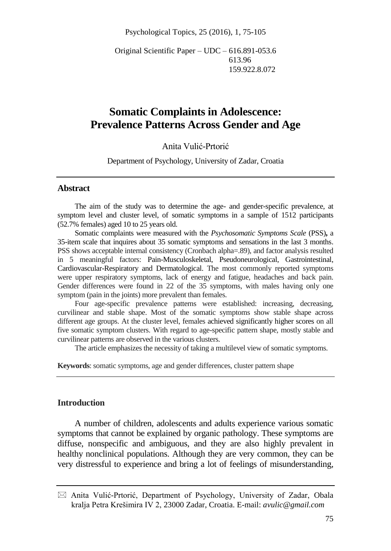Psychological Topics, 25 (2016), 1, 75-105

Original Scientific Paper – UDC – 616.891-053.6 613.96 159.922.8.072

# **Somatic Complaints in Adolescence: Prevalence Patterns Across Gender and Age**

#### Anita Vulić-Prtorić

Department of Psychology, University of Zadar, Croatia

#### **Abstract**

The aim of the study was to determine the age- and gender-specific prevalence, at symptom level and cluster level, of somatic symptoms in a sample of 1512 participants (52.7% females) aged 10 to 25 years old.

Somatic complaints were measured with the *Psychosomatic Symptoms Scale* (PSS)**,** a 35-item scale that inquires about 35 somatic symptoms and sensations in the last 3 months. PSS shows acceptable internal consistency (Cronbach alpha=.89), and factor analysis resulted in 5 meaningful factors: Pain-Musculoskeletal, Pseudoneurological, Gastrointestinal, Cardiovascular-Respiratory and Dermatological. The most commonly reported symptoms were upper respiratory symptoms, lack of energy and fatigue, headaches and back pain. Gender differences were found in 22 of the 35 symptoms, with males having only one symptom (pain in the joints) more prevalent than females.

Four age-specific prevalence patterns were established: increasing, decreasing, curvilinear and stable shape. Most of the somatic symptoms show stable shape across different age groups. At the cluster level, females achieved significantly higher scores on all five somatic symptom clusters. With regard to age-specific pattern shape, mostly stable and curvilinear patterns are observed in the various clusters.

The article emphasizes the necessity of taking a multilevel view of somatic symptoms.

**Keywords**: somatic symptoms, age and gender differences, cluster pattern shape

## **Introduction**

A number of children, adolescents and adults experience various somatic symptoms that cannot be explained by organic pathology. These symptoms are diffuse, nonspecific and ambiguous, and they are also highly prevalent in healthy nonclinical populations. Although they are very common, they can be very distressful to experience and bring a lot of feelings of misunderstanding,

 $\boxtimes$  Anita Vulić-Prtorić, Department of Psychology, University of Zadar, Obala kralja Petra Krešimira IV 2, 23000 Zadar, Croatia. E-mail: *avulic@gmail.com*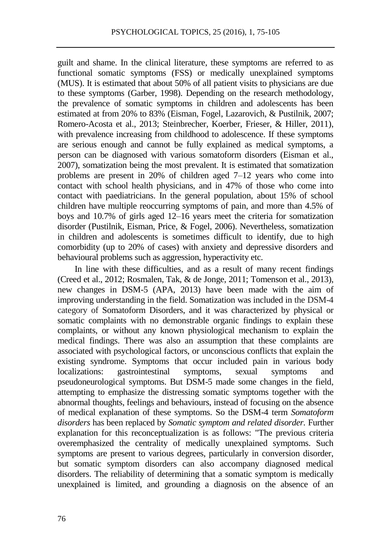guilt and shame. In the clinical literature, these symptoms are referred to as functional somatic symptoms (FSS) or medically unexplained symptoms (MUS). It is estimated that about 50% of all patient visits to physicians are due to these symptoms (Garber, 1998). Depending on the research methodology, the prevalence of somatic symptoms in children and adolescents has been estimated at from 20% to 83% (Eisman, Fogel, Lazarovich, & Pustilnik, 2007; Romero-Acosta et al., 2013; Steinbrecher, Koerber, Frieser, & Hiller, 2011), with prevalence increasing from childhood to adolescence. If these symptoms are serious enough and cannot be fully explained as medical symptoms, a person can be diagnosed with various somatoform disorders (Eisman et al., 2007), somatization being the most prevalent. It is estimated that somatization problems are present in 20% of children aged 7–12 years who come into contact with school health physicians, and in 47% of those who come into contact with paediatricians. In the general population, about 15% of school children have multiple reoccurring symptoms of pain, and more than 4.5% of boys and 10.7% of girls aged 12–16 years meet the criteria for somatization disorder (Pustilnik, Eisman, Price, & Fogel, 2006). Nevertheless, somatization in children and adolescents is sometimes difficult to identify, due to high comorbidity (up to 20% of cases) with anxiety and depressive disorders and behavioural problems such as aggression, hyperactivity etc.

In line with these difficulties, and as a result of many recent findings (Creed et al., 2012; Rosmalen, Tak, & de Jonge, 2011; Tomenson et al., 2013), new changes in DSM-5 (APA, 2013) have been made with the aim of improving understanding in the field. Somatization was included in the DSM-4 category of Somatoform Disorders, and it was characterized by physical or somatic complaints with no demonstrable organic findings to explain these complaints, or without any known physiological mechanism to explain the medical findings. There was also an assumption that these complaints are associated with psychological factors, or unconscious conflicts that explain the existing syndrome. Symptoms that occur included pain in various body localizations: gastrointestinal symptoms, sexual symptoms and pseudoneurological symptoms. But DSM-5 made some changes in the field, attempting to emphasize the distressing somatic symptoms together with the abnormal thoughts, feelings and behaviours, instead of focusing on the absence of medical explanation of these symptoms. So the DSM-4 term *Somatoform disorders* has been replaced by *Somatic symptom and related disorder.* Further explanation for this reconceptualization is as follows: "The previous criteria overemphasized the centrality of medically unexplained symptoms. Such symptoms are present to various degrees, particularly in conversion disorder, but somatic symptom disorders can also accompany diagnosed medical disorders. The reliability of determining that a somatic symptom is medically unexplained is limited, and grounding a diagnosis on the absence of an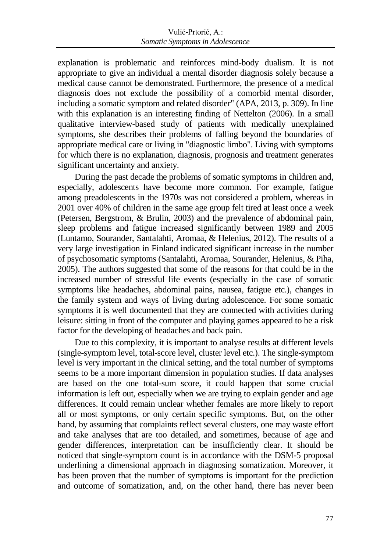explanation is problematic and reinforces mind-body dualism. It is not appropriate to give an individual a mental disorder diagnosis solely because a medical cause cannot be demonstrated. Furthermore, the presence of a medical diagnosis does not exclude the possibility of a comorbid mental disorder, including a somatic symptom and related disorder" (APA, 2013, p. 309). In line with this explanation is an interesting finding of Nettelton (2006). In a small qualitative interview-based study of patients with medically unexplained symptoms, she describes their problems of falling beyond the boundaries of appropriate medical care or living in "diagnostic limbo". Living with symptoms for which there is no explanation, diagnosis, prognosis and treatment generates significant uncertainty and anxiety.

During the past decade the problems of somatic symptoms in children and, especially, adolescents have become more common. For example, fatigue among preadolescents in the 1970s was not considered a problem, whereas in 2001 over 40% of children in the same age group felt tired at least once a week (Petersen, Bergstrom, & Brulin, 2003) and the prevalence of abdominal pain, sleep problems and fatigue increased significantly between 1989 and 2005 (Luntamo, Sourander, Santalahti, Aromaa, & Helenius, 2012). The results of a very large investigation in Finland indicated significant increase in the number of psychosomatic symptoms (Santalahti, Aromaa, Sourander, Helenius, & Piha, 2005). The authors suggested that some of the reasons for that could be in the increased number of stressful life events (especially in the case of somatic symptoms like headaches, abdominal pains, nausea, fatigue etc.), changes in the family system and ways of living during adolescence. For some somatic symptoms it is well documented that they are connected with activities during leisure: sitting in front of the computer and playing games appeared to be a risk factor for the developing of headaches and back pain.

Due to this complexity, it is important to analyse results at different levels (single-symptom level, total-score level, cluster level etc.). The single-symptom level is very important in the clinical setting, and the total number of symptoms seems to be a more important dimension in population studies. If data analyses are based on the one total-sum score, it could happen that some crucial information is left out, especially when we are trying to explain gender and age differences. It could remain unclear whether females are more likely to report all or most symptoms, or only certain specific symptoms. But, on the other hand, by assuming that complaints reflect several clusters, one may waste effort and take analyses that are too detailed, and sometimes, because of age and gender differences, interpretation can be insufficiently clear. It should be noticed that single-symptom count is in accordance with the DSM-5 proposal underlining a dimensional approach in diagnosing somatization. Moreover, it has been proven that the number of symptoms is important for the prediction and outcome of somatization, and, on the other hand, there has never been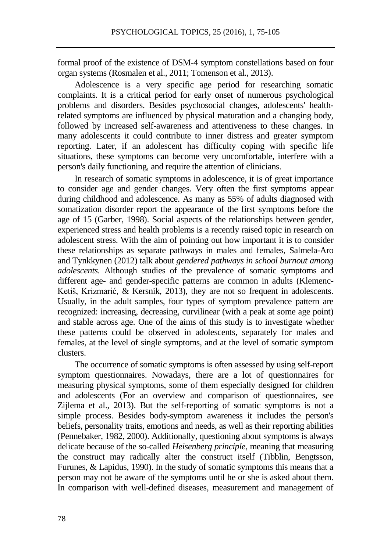formal proof of the existence of DSM-4 symptom constellations based on four organ systems (Rosmalen et al., 2011; Tomenson et al., 2013).

Adolescence is a very specific age period for researching somatic complaints. It is a critical period for early onset of numerous psychological problems and disorders. Besides psychosocial changes, adolescents' healthrelated symptoms are influenced by physical maturation and a changing body, followed by increased self-awareness and attentiveness to these changes. In many adolescents it could contribute to inner distress and greater symptom reporting. Later, if an adolescent has difficulty coping with specific life situations, these symptoms can become very uncomfortable, interfere with a person's daily functioning, and require the attention of clinicians.

In research of somatic symptoms in adolescence, it is of great importance to consider age and gender changes. Very often the first symptoms appear during childhood and adolescence. As many as 55% of adults diagnosed with somatization disorder report the appearance of the first symptoms before the age of 15 (Garber, 1998). Social aspects of the relationships between gender, experienced stress and health problems is a recently raised topic in research on adolescent stress. With the aim of pointing out how important it is to consider these relationships as separate pathways in males and females, Salmela-Aro and Tynkkynen (2012) talk about *gendered pathways in school burnout among adolescents.* Although studies of the prevalence of somatic symptoms and different age- and gender-specific patterns are common in adults (Klemenc-Ketiš, Krizmarić, & Kersnik, 2013), they are not so frequent in adolescents. Usually, in the adult samples, four types of symptom prevalence pattern are recognized: increasing, decreasing, curvilinear (with a peak at some age point) and stable across age. One of the aims of this study is to investigate whether these patterns could be observed in adolescents, separately for males and females, at the level of single symptoms, and at the level of somatic symptom clusters.

The occurrence of somatic symptoms is often assessed by using self-report symptom questionnaires. Nowadays, there are a lot of questionnaires for measuring physical symptoms, some of them especially designed for children and adolescents (For an overview and comparison of questionnaires, see Zijlema et al., 2013). But the self-reporting of somatic symptoms is not a simple process. Besides body-symptom awareness it includes the person's beliefs, personality traits, emotions and needs, as well as their reporting abilities (Pennebaker, 1982, 2000). Additionally, questioning about symptoms is always delicate because of the so-called *Heisenberg principle*, meaning that measuring the construct may radically alter the construct itself (Tibblin, Bengtsson, Furunes, & Lapidus, 1990). In the study of somatic symptoms this means that a person may not be aware of the symptoms until he or she is asked about them. In comparison with well-defined diseases, measurement and management of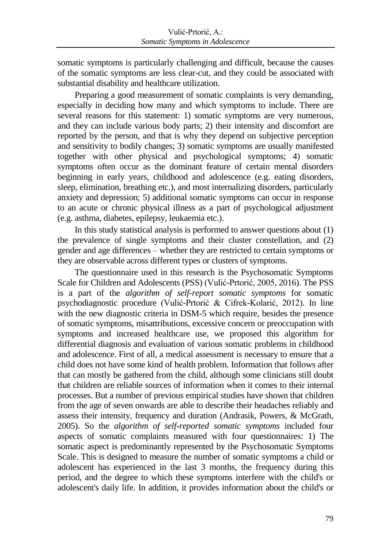somatic symptoms is particularly challenging and difficult, because the causes of the somatic symptoms are less clear-cut, and they could be associated with substantial disability and healthcare utilization.

Preparing a good measurement of somatic complaints is very demanding, especially in deciding how many and which symptoms to include. There are several reasons for this statement: 1) somatic symptoms are very numerous, and they can include various body parts; 2) their intensity and discomfort are reported by the person, and that is why they depend on subjective perception and sensitivity to bodily changes; 3) somatic symptoms are usually manifested together with other physical and psychological symptoms; 4) somatic symptoms often occur as the dominant feature of certain mental disorders beginning in early years, childhood and adolescence (e.g. eating disorders, sleep, elimination, breathing etc.), and most internalizing disorders, particularly anxiety and depression; 5) additional somatic symptoms can occur in response to an acute or chronic physical illness as a part of psychological adjustment (e.g. asthma, diabetes, epilepsy, leukaemia etc.).

In this study statistical analysis is performed to answer questions about (1) the prevalence of single symptoms and their cluster constellation, and (2) gender and age differences – whether they are restricted to certain symptoms or they are observable across different types or clusters of symptoms.

The questionnaire used in this research is the Psychosomatic Symptoms Scale for Children and Adolescents (PSS) (Vulić-Prtorić, 2005, 2016). The PSS is a part of the *algorithm of self-report somatic symptoms* for somatic psychodiagnostic procedure (Vulić-Prtorić & Cifrek-Kolarić, 2012). In line with the new diagnostic criteria in DSM-5 which require, besides the presence of somatic symptoms, misattributions, excessive concern or preoccupation with symptoms and increased healthcare use, we proposed this algorithm for differential diagnosis and evaluation of various somatic problems in childhood and adolescence. First of all, a medical assessment is necessary to ensure that a child does not have some kind of health problem. Information that follows after that can mostly be gathered from the child, although some clinicians still doubt that children are reliable sources of information when it comes to their internal processes. But a number of previous empirical studies have shown that children from the age of seven onwards are able to describe their headaches reliably and assess their intensity, frequency and duration (Andrasik, Powers, & McGrath, 2005). So the *algorithm of self-reported somatic symptoms* included four aspects of somatic complaints measured with four questionnaires: 1) The somatic aspect is predominantly represented by the Psychosomatic Symptoms Scale. This is designed to measure the number of somatic symptoms a child or adolescent has experienced in the last 3 months, the frequency during this period, and the degree to which these symptoms interfere with the child's or adolescent's daily life. In addition, it provides information about the child's or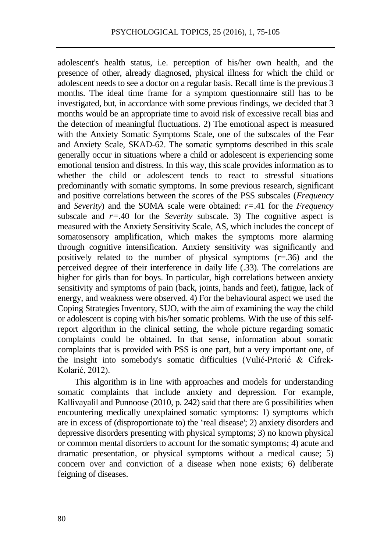adolescent's health status, i.e. perception of his/her own health, and the presence of other, already diagnosed, physical illness for which the child or adolescent needs to see a doctor on a regular basis. Recall time is the previous 3 months. The ideal time frame for a symptom questionnaire still has to be investigated, but, in accordance with some previous findings, we decided that 3 months would be an appropriate time to avoid risk of excessive recall bias and the detection of meaningful fluctuations. 2) The emotional aspect is measured with the Anxiety Somatic Symptoms Scale, one of the subscales of the Fear and Anxiety Scale, SKAD-62. The somatic symptoms described in this scale generally occur in situations where a child or adolescent is experiencing some emotional tension and distress. In this way, this scale provides information as to whether the child or adolescent tends to react to stressful situations predominantly with somatic symptoms. In some previous research, significant and positive correlations between the scores of the PSS subscales (*Frequency* and *Severity*) and the SOMA scale were obtained: *r=*.41 for the *Frequency* subscale and  $r=0.40$  for the *Severity* subscale. 3) The cognitive aspect is measured with the Anxiety Sensitivity Scale, AS, which includes the concept of somatosensory amplification, which makes the symptoms more alarming through cognitive intensification. Anxiety sensitivity was significantly and positively related to the number of physical symptoms (*r*=.36) and the perceived degree of their interference in daily life (.33). The correlations are higher for girls than for boys. In particular, high correlations between anxiety sensitivity and symptoms of pain (back, joints, hands and feet), fatigue, lack of energy, and weakness were observed. 4) For the behavioural aspect we used the Coping Strategies Inventory, SUO, with the aim of examining the way the child or adolescent is coping with his/her somatic problems. With the use of this selfreport algorithm in the clinical setting, the whole picture regarding somatic complaints could be obtained. In that sense, information about somatic complaints that is provided with PSS is one part, but a very important one, of the insight into somebody's somatic difficulties (Vulić-Prtorić & Cifrek-Kolarić, 2012).

This algorithm is in line with approaches and models for understanding somatic complaints that include anxiety and depression. For example, Kallivayalil and Punnoose (2010, p. 242) said that there are 6 possibilities when encountering medically unexplained somatic symptoms: 1) symptoms which are in excess of (disproportionate to) the 'real disease'; 2) anxiety disorders and depressive disorders presenting with physical symptoms; 3) no known physical or common mental disorders to account for the somatic symptoms; 4) acute and dramatic presentation, or physical symptoms without a medical cause; 5) concern over and conviction of a disease when none exists; 6) deliberate feigning of diseases.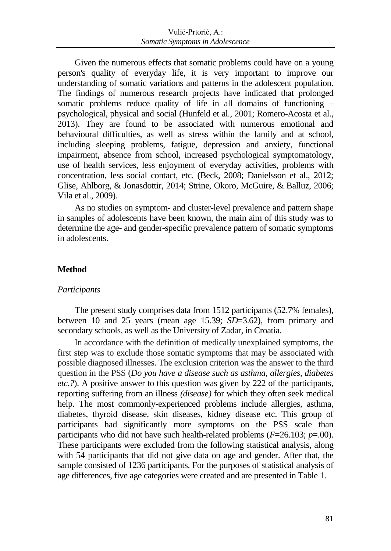Given the numerous effects that somatic problems could have on a young person's quality of everyday life, it is very important to improve our understanding of somatic variations and patterns in the adolescent population. The findings of numerous research projects have indicated that prolonged somatic problems reduce quality of life in all domains of functioning – psychological, physical and social [\(Hunfeld](http://www.ncbi.nlm.nih.gov/pubmed/?term=Hunfeld%20JA%5BAuthor%5D&cauthor=true&cauthor_uid=11259516) et al., 2001; Romero-Acosta et al., 2013). They are found to be associated with numerous emotional and behavioural difficulties, as well as stress within the family and at school, including sleeping problems, fatigue, depression and anxiety, functional impairment, absence from school, increased psychological symptomatology, use of health services, less enjoyment of everyday activities, problems with concentration, less social contact, etc. (Beck, 2008; Danielsson et al., 2012; Glise, Ahlborg, & Jonasdottir, 2014; Strine, Okoro, McGuire, & Balluz, 2006; Vila et al., 2009).

As no studies on symptom- and cluster-level prevalence and pattern shape in samples of adolescents have been known, the main aim of this study was to determine the age- and gender-specific prevalence pattern of somatic symptoms in adolescents.

## **Method**

#### *Participants*

The present study comprises data from 1512 participants (52.7% females), between 10 and 25 years (mean age 15.39; *SD*=3.62), from primary and secondary schools, as well as the University of Zadar, in Croatia.

In accordance with the definition of medically unexplained symptoms, the first step was to exclude those somatic symptoms that may be associated with possible diagnosed illnesses. The exclusion criterion was the answer to the third question in the PSS (*Do you have a disease such as asthma, allergies, diabetes etc.?*). A positive answer to this question was given by 222 of the participants, reporting suffering from an illness *(disease)* for which they often seek medical help. The most commonly-experienced problems include allergies, asthma, diabetes, thyroid disease, skin diseases, kidney disease etc. This group of participants had significantly more symptoms on the PSS scale than participants who did not have such health-related problems (*F*=26.103; *p*=.00). These participants were excluded from the following statistical analysis, along with 54 participants that did not give data on age and gender. After that, the sample consisted of 1236 participants. For the purposes of statistical analysis of age differences, five age categories were created and are presented in Table 1.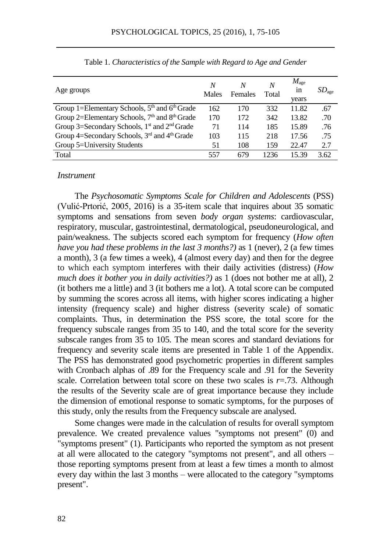| Age groups                                                            | N<br>Males | Ν<br>Females | N<br>Total | $M_{\rm age}$<br>in<br>vears | SD <sub>age</sub> |
|-----------------------------------------------------------------------|------------|--------------|------------|------------------------------|-------------------|
| Group 1=Elementary Schools, $5th$ and $6th$ Grade                     | 162        | 170          | 332        | 11.82                        | .67               |
| Group 2=Elementary Schools, 7 <sup>th</sup> and 8 <sup>th</sup> Grade | 170        | 172          | 342        | 13.82                        | .70               |
| Group 3=Secondary Schools, 1 <sup>st</sup> and 2 <sup>nd</sup> Grade  | 71         | 114          | 185        | 15.89                        | .76               |
| Group 4=Secondary Schools, 3 <sup>rd</sup> and 4 <sup>th</sup> Grade  | 103        | 115          | 218        | 17.56                        | .75               |
| Group 5=University Students                                           | 51         | 108          | 159        | 22.47                        | 2.7               |
| Total                                                                 | 557        | 679          | 1236       | 15.39                        | 3.62              |

Table 1. *Characteristics of the Sample with Regard to Age and Gender*

#### *Instrument*

The *Psychosomatic Symptoms Scale for Children and Adolescents* (PSS) (Vulić-Prtorić, 2005, 2016) is a 35-item scale that inquires about 35 somatic symptoms and sensations from seven *body organ systems*: cardiovascular, respiratory, muscular, gastrointestinal, dermatological, pseudoneurological, and pain/weakness. The subjects scored each symptom for frequency (*How often have you had these problems in the last 3 months?)* as 1 (never), 2 (a few times a month), 3 (a few times a week), 4 (almost every day) and then for the degree to which each symptom interferes with their daily activities (distress) (*How much does it bother you in daily activities?)* as 1 (does not bother me at all), 2 (it bothers me a little) and 3 (it bothers me a lot). A total score can be computed by summing the scores across all items, with higher scores indicating a higher intensity (frequency scale) and higher distress (severity scale) of somatic complaints. Thus, in determination the PSS score, the total score for the frequency subscale ranges from 35 to 140, and the total score for the severity subscale ranges from 35 to 105. The mean scores and standard deviations for frequency and severity scale items are presented in Table 1 of the Appendix. The PSS has demonstrated good psychometric properties in different samples with Cronbach alphas of .89 for the Frequency scale and .91 for the Severity scale. Correlation between total score on these two scales is  $r = .73$ . Although the results of the Severity scale are of great importance because they include the dimension of emotional response to somatic symptoms, for the purposes of this study, only the results from the Frequency subscale are analysed.

Some changes were made in the calculation of results for overall symptom prevalence. We created prevalence values "symptoms not present" (0) and "symptoms present" (1). Participants who reported the symptom as not present at all were allocated to the category "symptoms not present", and all others – those reporting symptoms present from at least a few times a month to almost every day within the last 3 months – were allocated to the category "symptoms present".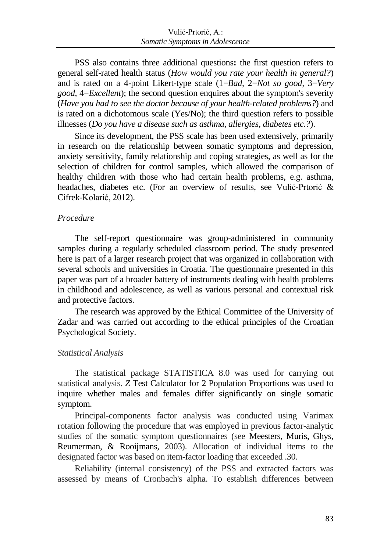PSS also contains three additional questions**:** the first question refers to general self-rated health status (*How would you rate your health in general?*) and is rated on a 4-point Likert-type scale (1=*Bad,* 2=*Not so good,* 3=*Very good,* 4=*Excellent*); the second question enquires about the symptom's severity (*Have you had to see the doctor because of your health-related problems?*) and is rated on a dichotomous scale (Yes/No); the third question refers to possible illnesses (*Do you have a disease such as asthma, allergies, diabetes etc.?*).

Since its development, the PSS scale has been used extensively, primarily in research on the relationship between somatic symptoms and depression, anxiety sensitivity, family relationship and coping strategies, as well as for the selection of children for control samples, which allowed the comparison of healthy children with those who had certain health problems, e.g. asthma, headaches, diabetes etc. (For an overview of results, see Vulić-Prtorić & Cifrek-Kolarić, 2012).

#### *Procedure*

The self-report questionnaire was group-administered in community samples during a regularly scheduled classroom period. The study presented here is part of a larger research project that was organized in collaboration with several schools and universities in Croatia. The questionnaire presented in this paper was part of a broader battery of instruments dealing with health problems in childhood and adolescence, as well as various personal and contextual risk and protective factors.

The research was approved by the Ethical Committee of the University of Zadar and was carried out according to the ethical principles of the Croatian Psychological Society.

#### *Statistical Analysis*

The statistical package STATISTICA 8.0 was used for carrying out statistical analysis. *Z* Test Calculator for 2 Population Proportions was used to inquire whether males and females differ significantly on single somatic symptom.

Principal-components factor analysis was conducted using Varimax rotation following the procedure that was employed in previous factor-analytic studies of the somatic symptom questionnaires (see Meesters, Muris, Ghys, Reumerman, & Rooijmans, 2003). Allocation of individual items to the designated factor was based on item-factor loading that exceeded .30.

Reliability (internal consistency) of the PSS and extracted factors was assessed by means of Cronbach's alpha. To establish differences between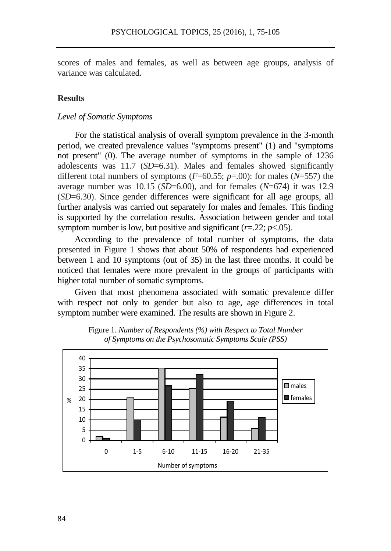scores of males and females, as well as between age groups, analysis of variance was calculated.

## **Results**

#### *Level of Somatic Symptoms*

For the statistical analysis of overall symptom prevalence in the 3-month period, we created prevalence values "symptoms present" (1) and "symptoms not present" (0). The average number of symptoms in the sample of 1236 adolescents was 11.7 (*SD*=6.31). Males and females showed significantly different total numbers of symptoms  $(F=60.55; p=.00)$ : for males  $(N=557)$  the average number was 10.15 (*SD*=6.00), and for females (*N*=674) it was 12.9 (*SD*=6.30). Since gender differences were significant for all age groups, all further analysis was carried out separately for males and females. This finding is supported by the correlation results. Association between gender and total symptom number is low, but positive and significant  $(r=.22; p<.05)$ .

According to the prevalence of total number of symptoms, the data presented in Figure 1 shows that about 50% of respondents had experienced between 1 and 10 symptoms (out of 35) in the last three months. It could be noticed that females were more prevalent in the groups of participants with higher total number of somatic symptoms.

Given that most phenomena associated with somatic prevalence differ with respect not only to gender but also to age, age differences in total symptom number were examined. The results are shown in Figure 2.



Figure 1. *Number of Respondents (%) with Respect to Total Number of Symptoms on the Psychosomatic Symptoms Scale (PSS)*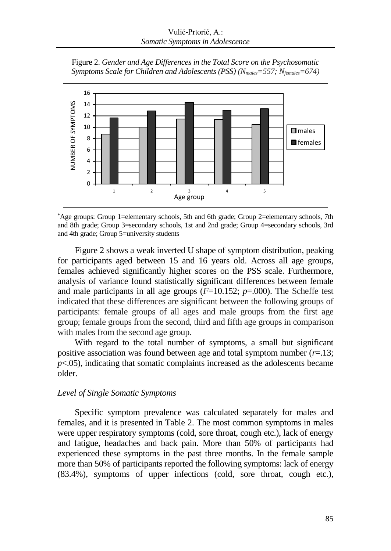Figure 2. *Gender and Age Differences in the Total Score on the Psychosomatic Symptoms Scale for Children and Adolescents (PSS) (Nmales=557; Nfemales=674)*



\*Age groups: Group 1=elementary schools, 5th and 6th grade; Group 2=elementary schools, 7th and 8th grade; Group 3=secondary schools, 1st and 2nd grade; Group 4=secondary schools, 3rd and 4th grade; Group 5=university students

Figure 2 shows a weak inverted U shape of symptom distribution, peaking for participants aged between 15 and 16 years old. Across all age groups, females achieved significantly higher scores on the PSS scale. Furthermore, analysis of variance found statistically significant differences between female and male participants in all age groups (*F*=10.152; *p*=.000). The Scheffe test indicated that these differences are significant between the following groups of participants: female groups of all ages and male groups from the first age group; female groups from the second, third and fifth age groups in comparison with males from the second age group.

With regard to the total number of symptoms, a small but significant positive association was found between age and total symptom number  $(r=13;$  $p<.05$ ), indicating that somatic complaints increased as the adolescents became older.

## *Level of Single Somatic Symptoms*

Specific symptom prevalence was calculated separately for males and females, and it is presented in Table 2. The most common symptoms in males were upper respiratory symptoms (cold, sore throat, cough etc.), lack of energy and fatigue, headaches and back pain. More than 50% of participants had experienced these symptoms in the past three months. In the female sample more than 50% of participants reported the following symptoms: lack of energy (83.4%), symptoms of upper infections (cold, sore throat, cough etc.),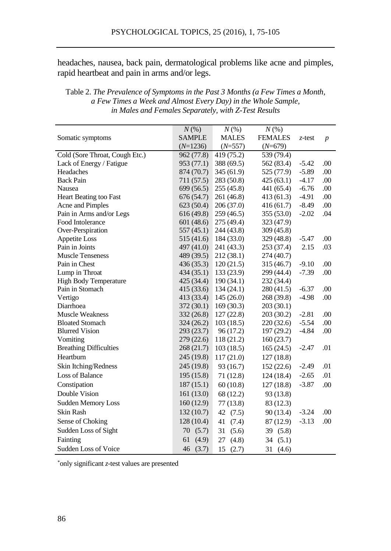headaches, nausea, back pain, dermatological problems like acne and pimples, rapid heartbeat and pain in arms and/or legs.

|                                | $N(\%)$       | $N(\%)$      | $N(\%)$        |         |                  |
|--------------------------------|---------------|--------------|----------------|---------|------------------|
| Somatic symptoms               | <b>SAMPLE</b> | <b>MALES</b> | <b>FEMALES</b> | z-test  | $\boldsymbol{p}$ |
|                                | $(N=1236)$    | $(N=557)$    | $(N=679)$      |         |                  |
| Cold (Sore Throat, Cough Etc.) | 962 (77.8)    | 419 (75.2)   | 539 (79.4)     |         |                  |
| Lack of Energy / Fatigue       | 953 (77.1)    | 388 (69.5)   | 562 (83.4)     | $-5.42$ | .00              |
| Headaches                      | 874 (70.7)    | 345(61.9)    | 525 (77.9)     | $-5.89$ | .00              |
| <b>Back Pain</b>               | 711 (57.5)    | 283 (50.8)   | 425(63.1)      | $-4.17$ | .00              |
| Nausea                         | 699 (56.5)    | 255 (45.8)   | 441 (65.4)     | $-6.76$ | .00              |
| Heart Beating too Fast         | 676 (54.7)    | 261 (46.8)   | 413(61.3)      | $-4.91$ | .00              |
| Acne and Pimples               | 623(50.4)     | 206(37.0)    | 416(61.7)      | $-8.49$ | .00              |
| Pain in Arms and/or Legs       | 616(49.8)     | 259 (46.5)   | 355(53.0)      | $-2.02$ | .04              |
| Food Intolerance               | 601(48.6)     | 275 (49.4)   | 323 (47.9)     |         |                  |
| Over-Perspiration              | 557(45.1)     | 244 (43.8)   | 309 (45.8)     |         |                  |
| <b>Appetite Loss</b>           | 515 (41.6)    | 184 (33.0)   | 329 (48.8)     | $-5.47$ | .00              |
| Pain in Joints                 | 497(41.0)     | 241 (43.3)   | 253 (37.4)     | 2.15    | .03              |
| <b>Muscle Tenseness</b>        | 489 (39.5)    | 212 (38.1)   | 274 (40.7)     |         |                  |
| Pain in Chest                  | 436(35.3)     | 120(21.5)    | 315 (46.7)     | $-9.10$ | .00              |
| Lump in Throat                 | 434(35.1)     | 133(23.9)    | 299 (44.4)     | $-7.39$ | .00              |
| <b>High Body Temperature</b>   | 425 (34.4)    | 190(34.1)    | 232 (34.4)     |         |                  |
| Pain in Stomach                | 415(33.6)     | 134(24.1)    | 280 (41.5)     | $-6.37$ | .00              |
| Vertigo                        | 413 (33.4)    | 145(26.0)    | 268 (39.8)     | $-4.98$ | .00              |
| Diarrhoea                      | 372(30.1)     | 169(30.3)    | 203(30.1)      |         |                  |
| <b>Muscle Weakness</b>         | 332(26.8)     | 127(22.8)    | 203 (30.2)     | $-2.81$ | .00              |
| <b>Bloated Stomach</b>         | 324(26.2)     | 103(18.5)    | 220(32.6)      | $-5.54$ | .00              |
| <b>Blurred Vision</b>          | 293 (23.7)    | 96(17.2)     | 197 (29.2)     | $-4.84$ | .00              |
| Vomiting                       | 279 (22.6)    | 118 (21.2)   | 160(23.7)      |         |                  |
| <b>Breathing Difficulties</b>  | 268 (21.7)    | 103(18.5)    | 165(24.5)      | $-2.47$ | .01              |
| Heartburn                      | 245 (19.8)    | 117(21.0)    | 127(18.8)      |         |                  |
| Skin Itching/Redness           | 245 (19.8)    | 93 (16.7)    | 152(22.6)      | $-2.49$ | .01              |
| Loss of Balance                | 195(15.8)     | 71(12.8)     | 124(18.4)      | $-2.65$ | .01              |
| Constipation                   | 187(15.1)     | 60(10.8)     | 127(18.8)      | $-3.87$ | .00              |
| Double Vision                  | 161(13.0)     | 68 (12.2)    | 93 (13.8)      |         |                  |
| <b>Sudden Memory Loss</b>      | 160(12.9)     | 77(13.8)     | 83 (12.3)      |         |                  |
| <b>Skin Rash</b>               | 132 (10.7)    | 42 (7.5)     | 90(13.4)       | $-3.24$ | .00              |
| Sense of Choking               | 128(10.4)     | 41<br>(7.4)  | 87 (12.9)      | $-3.13$ | .00              |
| Sudden Loss of Sight           | 70 (5.7)      | 31<br>(5.6)  | 39 (5.8)       |         |                  |
| Fainting                       | 61<br>(4.9)   | 27<br>(4.8)  | 34<br>(5.1)    |         |                  |
| Sudden Loss of Voice           | 46<br>(3.7)   | 15<br>(2.7)  | 31<br>(4.6)    |         |                  |
|                                |               |              |                |         |                  |

## Table 2. *The Prevalence of Symptoms in the Past 3 Months (a Few Times a Month, a Few Times a Week and Almost Every Day) in the Whole Sample, in Males and Females Separately, with Z-Test Results*

\*only significant *z*-test values are presented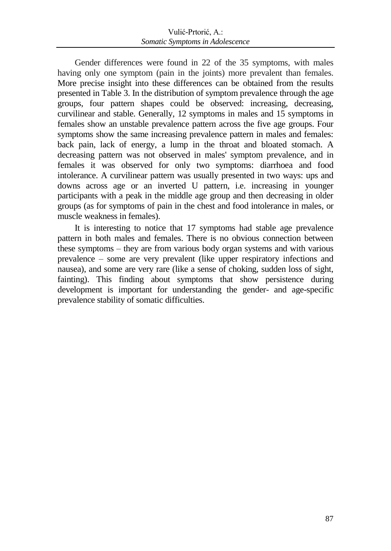Gender differences were found in 22 of the 35 symptoms, with males having only one symptom (pain in the joints) more prevalent than females. More precise insight into these differences can be obtained from the results presented in Table 3. In the distribution of symptom prevalence through the age groups, four pattern shapes could be observed: increasing, decreasing, curvilinear and stable. Generally, 12 symptoms in males and 15 symptoms in females show an unstable prevalence pattern across the five age groups. Four symptoms show the same increasing prevalence pattern in males and females: back pain, lack of energy, a lump in the throat and bloated stomach. A decreasing pattern was not observed in males' symptom prevalence, and in females it was observed for only two symptoms: diarrhoea and food intolerance. A curvilinear pattern was usually presented in two ways: ups and downs across age or an inverted U pattern, i.e. increasing in younger participants with a peak in the middle age group and then decreasing in older groups (as for symptoms of pain in the chest and food intolerance in males, or muscle weakness in females).

It is interesting to notice that 17 symptoms had stable age prevalence pattern in both males and females. There is no obvious connection between these symptoms – they are from various body organ systems and with various prevalence – some are very prevalent (like upper respiratory infections and nausea), and some are very rare (like a sense of choking, sudden loss of sight, fainting). This finding about symptoms that show persistence during development is important for understanding the gender- and age-specific prevalence stability of somatic difficulties.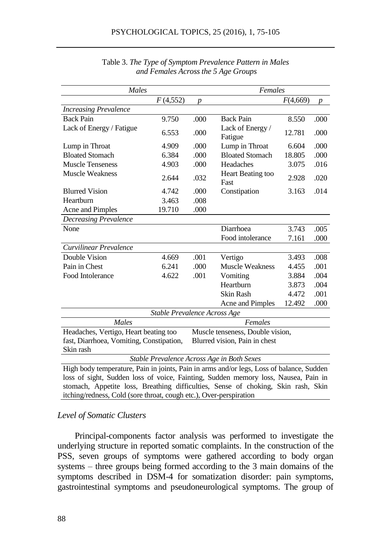| Males                                                                                    |                              |                  | Females                          |          |                  |  |  |  |
|------------------------------------------------------------------------------------------|------------------------------|------------------|----------------------------------|----------|------------------|--|--|--|
|                                                                                          | F(4,552)                     | $\boldsymbol{p}$ |                                  | F(4,669) | $\boldsymbol{p}$ |  |  |  |
| <b>Increasing Prevalence</b>                                                             |                              |                  |                                  |          |                  |  |  |  |
| <b>Back Pain</b>                                                                         | 9.750                        | .000             | <b>Back Pain</b>                 | 8.550    | .000             |  |  |  |
| Lack of Energy / Fatigue                                                                 | 6.553                        | .000             | Lack of Energy /<br>Fatigue      | 12.781   | .000             |  |  |  |
| Lump in Throat                                                                           | 4.909                        | .000             | Lump in Throat                   | 6.604    | .000             |  |  |  |
| <b>Bloated Stomach</b>                                                                   | 6.384                        | .000             | <b>Bloated Stomach</b>           | 18.805   | .000             |  |  |  |
| <b>Muscle Tenseness</b>                                                                  | 4.903                        | .000             | Headaches                        | 3.075    | .016             |  |  |  |
| <b>Muscle Weakness</b>                                                                   | 2.644                        | .032             | Heart Beating too<br>Fast        | 2.928    | .020             |  |  |  |
| <b>Blurred Vision</b>                                                                    | 4.742                        | .000             | Constipation                     | 3.163    | .014             |  |  |  |
| Heartburn                                                                                | 3.463                        | .008             |                                  |          |                  |  |  |  |
| Acne and Pimples                                                                         | 19.710                       | .000             |                                  |          |                  |  |  |  |
| <b>Decreasing Prevalence</b>                                                             |                              |                  |                                  |          |                  |  |  |  |
| None                                                                                     |                              |                  | Diarrhoea                        | 3.743    | .005             |  |  |  |
|                                                                                          |                              |                  | Food intolerance                 | 7.161    | .000             |  |  |  |
| Curvilinear Prevalence                                                                   |                              |                  |                                  |          |                  |  |  |  |
| Double Vision                                                                            | 4.669                        | .001             | Vertigo                          | 3.493    | .008             |  |  |  |
| Pain in Chest                                                                            | 6.241                        | .000             | <b>Muscle Weakness</b>           | 4.455    | .001             |  |  |  |
| Food Intolerance                                                                         | 4.622                        | .001             | Vomiting                         | 3.884    | .004             |  |  |  |
|                                                                                          |                              |                  | Heartburn                        | 3.873    | .004             |  |  |  |
|                                                                                          |                              |                  | <b>Skin Rash</b>                 | 4.472    | .001             |  |  |  |
|                                                                                          |                              |                  | Acne and Pimples                 | 12.492   | .000             |  |  |  |
|                                                                                          | Stable Prevalence Across Age |                  |                                  |          |                  |  |  |  |
| Males                                                                                    |                              |                  | Females                          |          |                  |  |  |  |
| Headaches, Vertigo, Heart beating too                                                    |                              |                  | Muscle tenseness, Double vision, |          |                  |  |  |  |
| fast, Diarrhoea, Vomiting, Constipation,                                                 |                              |                  | Blurred vision, Pain in chest    |          |                  |  |  |  |
| Skin rash                                                                                |                              |                  |                                  |          |                  |  |  |  |
| Stable Prevalence Across Age in Both Sexes                                               |                              |                  |                                  |          |                  |  |  |  |
| High body temperature, Pain in joints, Pain in arms and/or legs, Loss of balance, Sudden |                              |                  |                                  |          |                  |  |  |  |
| loss of sight, Sudden loss of voice, Fainting, Sudden memory loss, Nausea, Pain in       |                              |                  |                                  |          |                  |  |  |  |
| stomach, Appetite loss, Breathing difficulties, Sense of choking, Skin rash, Skin        |                              |                  |                                  |          |                  |  |  |  |
| itching/redness, Cold (sore throat, cough etc.), Over-perspiration                       |                              |                  |                                  |          |                  |  |  |  |

Table 3. *The Type of Symptom Prevalence Pattern in Males and Females Across the 5 Age Groups*

#### *Level of Somatic Clusters*

Principal-components factor analysis was performed to investigate the underlying structure in reported somatic complaints. In the construction of the PSS, seven groups of symptoms were gathered according to body organ systems – three groups being formed according to the 3 main domains of the symptoms described in DSM-4 for somatization disorder: pain symptoms, gastrointestinal symptoms and pseudoneurological symptoms. The group of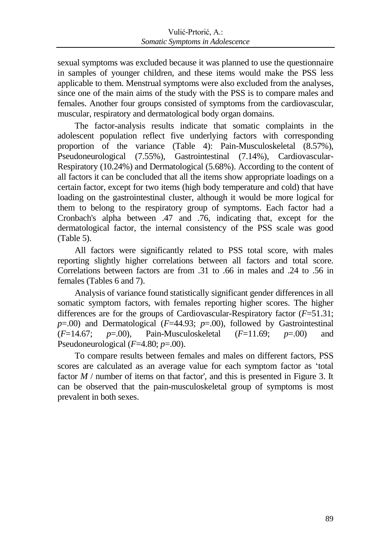sexual symptoms was excluded because it was planned to use the questionnaire in samples of younger children, and these items would make the PSS less applicable to them. Menstrual symptoms were also excluded from the analyses, since one of the main aims of the study with the PSS is to compare males and females. Another four groups consisted of symptoms from the cardiovascular, muscular, respiratory and dermatological body organ domains.

The factor-analysis results indicate that somatic complaints in the adolescent population reflect five underlying factors with corresponding proportion of the variance (Table 4): Pain-Musculoskeletal (8.57%), Pseudoneurological (7.55%), Gastrointestinal (7.14%), Cardiovascular-Respiratory (10.24%) and Dermatological (5.68%). According to the content of all factors it can be concluded that all the items show appropriate loadings on a certain factor, except for two items (high body temperature and cold) that have loading on the gastrointestinal cluster, although it would be more logical for them to belong to the respiratory group of symptoms. Each factor had a Cronbach's alpha between .47 and .76, indicating that, except for the dermatological factor, the internal consistency of the PSS scale was good (Table 5).

All factors were significantly related to PSS total score, with males reporting slightly higher correlations between all factors and total score. Correlations between factors are from .31 to .66 in males and .24 to .56 in females (Tables 6 and 7).

Analysis of variance found statistically significant gender differences in all somatic symptom factors, with females reporting higher scores. The higher differences are for the groups of Cardiovascular-Respiratory factor (*F*=51.31; *p*=.00) and Dermatological (*F*=44.93; *p*=.00), followed by Gastrointestinal (*F*=14.67; *p*=.00), Pain-Musculoskeletal (*F*=11.69; *p*=.00) and Pseudoneurological (*F*=4.80; *p*=.00).

To compare results between females and males on different factors, PSS scores are calculated as an average value for each symptom factor as 'total factor *M* / number of items on that factor', and this is presented in Figure 3. It can be observed that the pain-musculoskeletal group of symptoms is most prevalent in both sexes.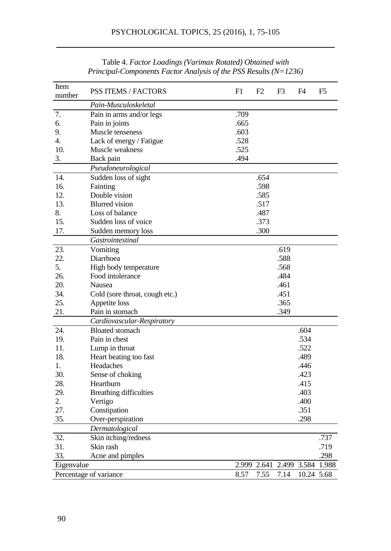| Item<br>number | <b>PSS ITEMS / FACTORS</b>     | F1    | F <sub>2</sub> | F3          | F4         | F5    |
|----------------|--------------------------------|-------|----------------|-------------|------------|-------|
|                | Pain-Musculoskeletal           |       |                |             |            |       |
| 7.             | Pain in arms and/or legs       | .709  |                |             |            |       |
| 6.             | Pain in joints                 | .665  |                |             |            |       |
| 9.             | Muscle tenseness               | .603  |                |             |            |       |
| 4.             | Lack of energy / Fatigue       | .528  |                |             |            |       |
| 10.            | Muscle weakness                | .525  |                |             |            |       |
| 3.             | Back pain                      | .494  |                |             |            |       |
|                | Pseudoneurological             |       |                |             |            |       |
| 14.            | Sudden loss of sight           |       | .654           |             |            |       |
| 16.            | Fainting                       |       | .598           |             |            |       |
| 12.            | Double vision                  |       | .585           |             |            |       |
| 13.            | <b>Blurred</b> vision          |       | .517           |             |            |       |
| 8.             | Loss of balance                |       | .487           |             |            |       |
| 15.            | Sudden loss of voice           |       | .373           |             |            |       |
| 17.            | Sudden memory loss             |       | .300           |             |            |       |
|                | Gastrointestinal               |       |                |             |            |       |
| 23.            | Vomiting                       |       |                | .619        |            |       |
| 22.            | Diarrhoea                      |       |                | .588        |            |       |
| 5.             | High body temperature          |       |                | .568        |            |       |
| 26.            | Food intolerance               |       |                | .484        |            |       |
| 20.            | Nausea                         |       |                | .461        |            |       |
| 34.            | Cold (sore throat, cough etc.) |       |                | .451        |            |       |
| 25.            | Appetite loss                  |       |                | .365        |            |       |
| 21.            | Pain in stomach                |       |                | .349        |            |       |
|                | Cardiovascular-Respiratory     |       |                |             |            |       |
| 24.            | <b>Bloated</b> stomach         |       |                |             | .604       |       |
| 19.            | Pain in chest                  |       |                |             | .534       |       |
| 11.            | Lump in throat                 |       |                |             | .522       |       |
| 18.            | Heart beating too fast         |       |                |             | .489       |       |
| 1.             | Headaches                      |       |                |             | .446       |       |
| 30.            | Sense of choking               |       |                |             | .423       |       |
| 28.            | Heartburn                      |       |                |             | .415       |       |
| 29.            | <b>Breathing difficulties</b>  |       |                |             | .403       |       |
| 2.             | Vertigo                        |       |                |             | .400       |       |
| 27.            | Constipation                   |       |                |             | .351       |       |
| 35.            | Over-perspiration              |       |                |             | .298       |       |
|                | Dermatological                 |       |                |             |            |       |
| 32.            | Skin itching/redness           |       |                |             |            | .737  |
| 31.            | Skin rash                      |       |                |             |            | .719  |
| 33.            | Acne and pimples               |       |                |             |            | .298  |
| Eigenvalue     |                                | 2.999 |                | 2.641 2.499 | 3.584      | 1.988 |
|                | Percentage of variance         | 8.57  | 7.55           | 7.14        | 10.24 5.68 |       |
|                |                                |       |                |             |            |       |

Table 4. *Factor Loadings (Varimax Rotated) Obtained with Principal-Components Factor Analysis of the PSS Results (N=1236)*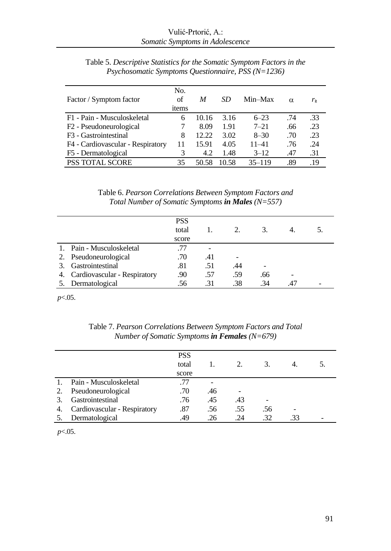| Factor / Symptom factor             | No.<br>of<br>items | M     | SD.   | Min-Max    | $\alpha$ | $r_{\rm it}$ |
|-------------------------------------|--------------------|-------|-------|------------|----------|--------------|
| F1 - Pain - Musculoskeletal         | 6                  | 10.16 | 3.16  | $6 - 23$   | .74      | .33          |
| F <sub>2</sub> - Pseudoneurological |                    | 8.09  | 1.91  | $7 - 21$   | .66      | .23          |
| F3 - Gastrointestinal               | 8                  | 12.22 | 3.02  | $8 - 30$   | .70      | .23          |
| F4 - Cardiovascular - Respiratory   | 11                 | 15.91 | 4.05  | $11 - 41$  | .76      | .24          |
| F5 - Dermatological                 |                    | 4.2   | 1.48  | $3 - 12$   | .47      | .31          |
| <b>PSS TOTAL SCORE</b>              | 35                 | 50.58 | 10.58 | $35 - 119$ | .89      | .19          |

Table 5. *Descriptive Statistics for the Somatic Symptom Factors in the Psychosomatic Symptoms Questionnaire, PSS (N=1236)*

Table 6. *Pearson Correlations Between Symptom Factors and Total Number of Somatic Symptoms in Males (N=557)*

|         |                                 | <b>PSS</b> |     |     |     |     |  |
|---------|---------------------------------|------------|-----|-----|-----|-----|--|
|         |                                 | total      |     | 2.  | 3.  |     |  |
|         |                                 | score      |     |     |     |     |  |
| $1_{-}$ | Pain - Musculoskeletal          | .77        |     |     |     |     |  |
|         | 2. Pseudoneurological           | .70        | .41 |     |     |     |  |
| 3.      | Gastrointestinal                | .81        | .51 | .44 |     |     |  |
|         | 4. Cardiovascular - Respiratory | .90        | .57 | .59 | .66 |     |  |
|         | 5. Dermatological               | .56        | .31 | .38 | .34 | .47 |  |

*p*<.05.

Table 7. *Pearson Correlations Between Symptom Factors and Total Number of Somatic Symptoms in Females (N=679)*

|    |                              | <b>PSS</b><br>total |     | 2.  | 3.  |     |  |
|----|------------------------------|---------------------|-----|-----|-----|-----|--|
|    |                              | score               |     |     |     |     |  |
|    | Pain - Musculoskeletal       | .77                 |     |     |     |     |  |
| 2. | Pseudoneurological           | .70                 | .46 |     |     |     |  |
| 3. | Gastrointestinal             | .76                 | .45 | .43 | ٠   |     |  |
| 4. | Cardiovascular - Respiratory | .87                 | .56 | .55 | .56 |     |  |
| 5. | Dermatological               | .49                 | .26 | 24  | .32 | .33 |  |
|    |                              |                     |     |     |     |     |  |

*p*<.05.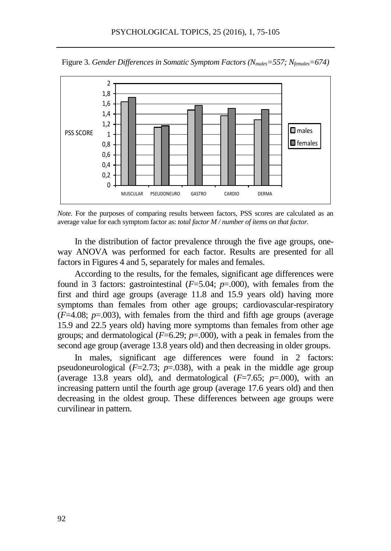

Figure 3. *Gender Differences in Somatic Symptom Factors (Nmales=557; Nfemales=674)*

*Note.* For the purposes of comparing results between factors, PSS scores are calculated as an average value for each symptom factor as: *total factor M / number of items on that factor.*

In the distribution of factor prevalence through the five age groups, oneway ANOVA was performed for each factor. Results are presented for all factors in Figures 4 and 5, separately for males and females.

According to the results, for the females, significant age differences were found in 3 factors: gastrointestinal (*F*=5.04; *p*=.000), with females from the first and third age groups (average 11.8 and 15.9 years old) having more symptoms than females from other age groups; cardiovascular-respiratory  $(F=4.08; p=.003)$ , with females from the third and fifth age groups (average 15.9 and 22.5 years old) having more symptoms than females from other age groups; and dermatological  $(F=6.29; p=.000)$ , with a peak in females from the second age group (average 13.8 years old) and then decreasing in older groups.

In males, significant age differences were found in 2 factors: pseudoneurological  $(F=2.73; p=.038)$ , with a peak in the middle age group (average 13.8 years old), and dermatological  $(F=7.65; p=.000)$ , with an increasing pattern until the fourth age group (average 17.6 years old) and then decreasing in the oldest group. These differences between age groups were curvilinear in pattern.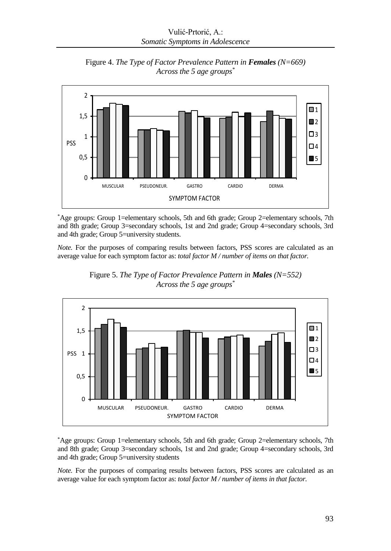

Figure 4. *The Type of Factor Prevalence Pattern in Females (N=669) Across the 5 age groups\**

\*Age groups: Group 1=elementary schools, 5th and 6th grade; Group 2=elementary schools, 7th and 8th grade; Group 3=secondary schools, 1st and 2nd grade; Group 4=secondary schools, 3rd and 4th grade; Group 5=university students.

*Note.* For the purposes of comparing results between factors, PSS scores are calculated as an average value for each symptom factor as: *total factor M / number of items on that factor.*





\*Age groups: Group 1=elementary schools, 5th and 6th grade; Group 2=elementary schools, 7th and 8th grade; Group 3=secondary schools, 1st and 2nd grade; Group 4=secondary schools, 3rd and 4th grade; Group 5=university students

*Note.* For the purposes of comparing results between factors, PSS scores are calculated as an average value for each symptom factor as: *total factor M / number of items in that factor.*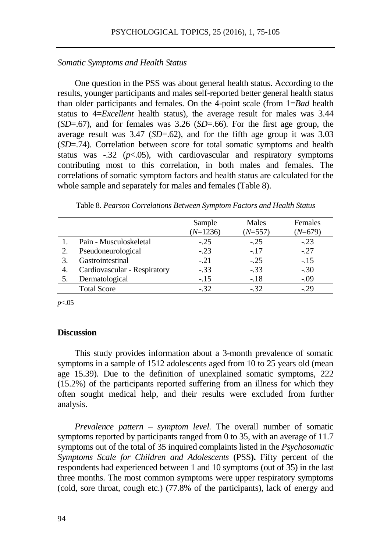## *Somatic Symptoms and Health Status*

One question in the PSS was about general health status. According to the results, younger participants and males self-reported better general health status than older participants and females. On the 4-point scale (from 1=*Bad* health status to 4=*Excellent* health status), the average result for males was 3.44 (*SD*=.67), and for females was 3.26 (*SD*=.66). For the first age group, the average result was 3.47 (*SD*=.62), and for the fifth age group it was 3.03 (*SD*=.74). Correlation between score for total somatic symptoms and health status was  $-32$  ( $p<0.05$ ), with cardiovascular and respiratory symptoms contributing most to this correlation, in both males and females. The correlations of somatic symptom factors and health status are calculated for the whole sample and separately for males and females (Table 8).

|    |                              | Sample     | Males     | Females |
|----|------------------------------|------------|-----------|---------|
|    |                              | $(N=1236)$ | $(N=557)$ | (N=679) |
|    | Pain - Musculoskeletal       | $-.25$     | $-.25$    | $-.23$  |
|    | Pseudoneurological           | $-.23$     | $-.17$    | $-.27$  |
|    | Gastrointestinal             | $-.21$     | $-.25$    | $-.15$  |
| 4. | Cardiovascular - Respiratory | $-.33$     | $-.33$    | $-.30$  |
|    | Dermatological               | $-.15$     | $-.18$    | $-.09$  |
|    | <b>Total Score</b>           | $-.32$     | $-.32$    | $-29$   |

| Table 8. Pearson Correlations Between Symptom Factors and Health Status |  |  |  |  |
|-------------------------------------------------------------------------|--|--|--|--|
|                                                                         |  |  |  |  |

*p*<.05

#### **Discussion**

This study provides information about a 3-month prevalence of somatic symptoms in a sample of 1512 adolescents aged from 10 to 25 years old (mean age 15.39). Due to the definition of unexplained somatic symptoms, 222 (15.2%) of the participants reported suffering from an illness for which they often sought medical help, and their results were excluded from further analysis.

*Prevalence pattern – symptom level.* The overall number of somatic symptoms reported by participants ranged from 0 to 35, with an average of 11.7 symptoms out of the total of 35 inquired complaints listed in the *Psychosomatic Symptoms Scale for Children and Adolescents* (PSS**).** Fifty percent of the respondents had experienced between 1 and 10 symptoms (out of 35) in the last three months. The most common symptoms were upper respiratory symptoms (cold, sore throat, cough etc.) (77.8% of the participants), lack of energy and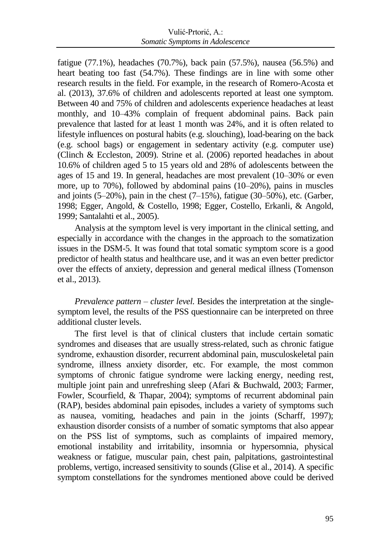fatigue (77.1%), headaches (70.7%), back pain (57.5%), nausea (56.5%) and heart beating too fast (54.7%). These findings are in line with some other research results in the field. For example, in the research of Romero-Acosta et al. (2013), 37.6% of children and adolescents reported at least one symptom. Between 40 and 75% of children and adolescents experience headaches at least monthly, and 10–43% complain of frequent abdominal pains. Back pain prevalence that lasted for at least 1 month was 24%, and it is often related to lifestyle influences on postural habits (e.g. slouching), load-bearing on the back (e.g. school bags) or engagement in sedentary activity (e.g. computer use) (Clinch & Eccleston, 2009). Strine et al. (2006) reported headaches in about 10.6% of children aged 5 to 15 years old and 28% of adolescents between the ages of 15 and 19. In general, headaches are most prevalent (10–30% or even more, up to 70%), followed by abdominal pains (10–20%), pains in muscles and joints (5–20%), pain in the chest (7–15%), fatigue (30–50%), etc. (Garber, 1998; Egger, Angold, & Costello, 1998; Egger, Costello, Erkanli, & Angold, 1999; Santalahti et al., 2005).

Analysis at the symptom level is very important in the clinical setting, and especially in accordance with the changes in the approach to the somatization issues in the DSM-5. It was found that total somatic symptom score is a good predictor of health status and healthcare use, and it was an even better predictor over the effects of anxiety, depression and general medical illness (Tomenson et al., 2013).

*Prevalence pattern – cluster level.* Besides the interpretation at the singlesymptom level, the results of the PSS questionnaire can be interpreted on three additional cluster levels.

The first level is that of clinical clusters that include certain somatic syndromes and diseases that are usually stress-related, such as chronic fatigue syndrome, exhaustion disorder, recurrent abdominal pain, musculoskeletal pain syndrome, illness anxiety disorder, etc. For example, the most common symptoms of chronic fatigue syndrome were lacking energy, needing rest, multiple joint pain and unrefreshing sleep (Afari & Buchwald, 2003; Farmer, Fowler, Scourfield, & Thapar, 2004); symptoms of recurrent abdominal pain (RAP), besides abdominal pain episodes, includes a variety of symptoms such as nausea, vomiting, headaches and pain in the joints (Scharff, 1997); exhaustion disorder consists of a number of somatic symptoms that also appear on the PSS list of symptoms, such as complaints of impaired memory, emotional instability and irritability, insomnia or hypersomnia, physical weakness or fatigue, muscular pain, chest pain, palpitations, gastrointestinal problems, vertigo, increased sensitivity to sounds (Glise et al., 2014). A specific symptom constellations for the syndromes mentioned above could be derived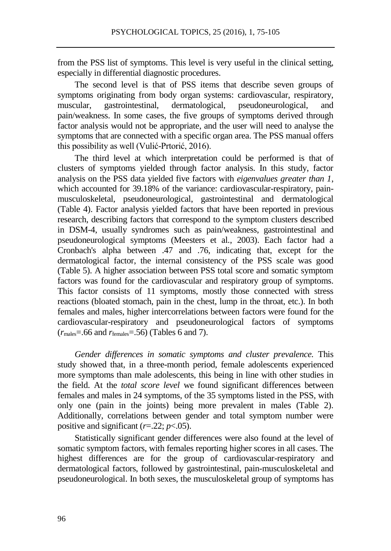from the PSS list of symptoms. This level is very useful in the clinical setting, especially in differential diagnostic procedures.

The second level is that of PSS items that describe seven groups of symptoms originating from body organ systems: cardiovascular, respiratory, muscular, gastrointestinal, dermatological, pseudoneurological, and pain/weakness. In some cases, the five groups of symptoms derived through factor analysis would not be appropriate, and the user will need to analyse the symptoms that are connected with a specific organ area. The PSS manual offers this possibility as well (Vulić-Prtorić, 2016).

The third level at which interpretation could be performed is that of clusters of symptoms yielded through factor analysis. In this study, factor analysis on the PSS data yielded five factors with *eigenvalues greater than 1*, which accounted for 39.18% of the variance: cardiovascular-respiratory, painmusculoskeletal, pseudoneurological, gastrointestinal and dermatological (Table 4). Factor analysis yielded factors that have been reported in previous research, describing factors that correspond to the symptom clusters described in DSM-4, usually syndromes such as pain/weakness, gastrointestinal and pseudoneurological symptoms (Meesters et al., 2003). Each factor had a Cronbach's alpha between .47 and .76, indicating that, except for the dermatological factor, the internal consistency of the PSS scale was good (Table 5). A higher association between PSS total score and somatic symptom factors was found for the cardiovascular and respiratory group of symptoms. This factor consists of 11 symptoms, mostly those connected with stress reactions (bloated stomach, pain in the chest, lump in the throat, etc.). In both females and males, higher intercorrelations between factors were found for the cardiovascular-respiratory and pseudoneurological factors of symptoms (*r*males=.66 and *r*females=.56) (Tables 6 and 7).

*Gender differences in somatic symptoms and cluster prevalence.* This study showed that, in a three-month period, female adolescents experienced more symptoms than male adolescents, this being in line with other studies in the field. At the *total score level* we found significant differences between females and males in 24 symptoms, of the 35 symptoms listed in the PSS, with only one (pain in the joints) being more prevalent in males (Table 2). Additionally, correlations between gender and total symptom number were positive and significant  $(r=.22; p<.05)$ .

Statistically significant gender differences were also found at the level of somatic symptom factors, with females reporting higher scores in all cases. The highest differences are for the group of cardiovascular-respiratory and dermatological factors, followed by gastrointestinal, pain-musculoskeletal and pseudoneurological. In both sexes, the musculoskeletal group of symptoms has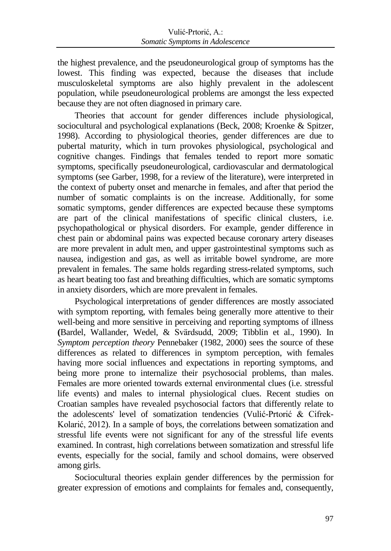the highest prevalence, and the pseudoneurological group of symptoms has the lowest. This finding was expected, because the diseases that include musculoskeletal symptoms are also highly prevalent in the adolescent population, while pseudoneurological problems are amongst the less expected because they are not often diagnosed in primary care.

Theories that account for gender differences include physiological, sociocultural and psychological explanations (Beck, 2008; Kroenke & Spitzer, 1998). According to physiological theories, gender differences are due to pubertal maturity, which in turn provokes physiological, psychological and cognitive changes. Findings that females tended to report more somatic symptoms, specifically pseudoneurological, cardiovascular and dermatological symptoms (see Garber, 1998, for a review of the literature), were interpreted in the context of puberty onset and menarche in females, and after that period the number of somatic complaints is on the increase. Additionally, for some somatic symptoms, gender differences are expected because these symptoms are part of the clinical manifestations of specific clinical clusters, i.e. psychopathological or physical disorders. For example, gender difference in chest pain or abdominal pains was expected because coronary artery diseases are more prevalent in adult men, and upper gastrointestinal symptoms such as nausea, indigestion and gas, as well as irritable bowel syndrome, are more prevalent in females. The same holds regarding stress-related symptoms, such as heart beating too fast and breathing difficulties, which are somatic symptoms in anxiety disorders, which are more prevalent in females.

Psychological interpretations of gender differences are mostly associated with symptom reporting, with females being generally more attentive to their well-being and more sensitive in perceiving and reporting symptoms of illness **(**Bardel, Wallander, Wedel, & Svärdsudd, 2009; Tibblin et al., 1990). In *Symptom perception theory* Pennebaker (1982, 2000) sees the source of these differences as related to differences in symptom perception, with females having more social influences and expectations in reporting symptoms, and being more prone to internalize their psychosocial problems, than males. Females are more oriented towards external environmental clues (i.e. stressful life events) and males to internal physiological clues. Recent studies on Croatian samples have revealed psychosocial factors that differently relate to the adolescents' level of somatization tendencies (Vulić-Prtorić & Cifrek-Kolarić, 2012). In a sample of boys, the correlations between somatization and stressful life events were not significant for any of the stressful life events examined. In contrast, high correlations between somatization and stressful life events, especially for the social, family and school domains, were observed among girls.

Sociocultural theories explain gender differences by the permission for greater expression of emotions and complaints for females and, consequently,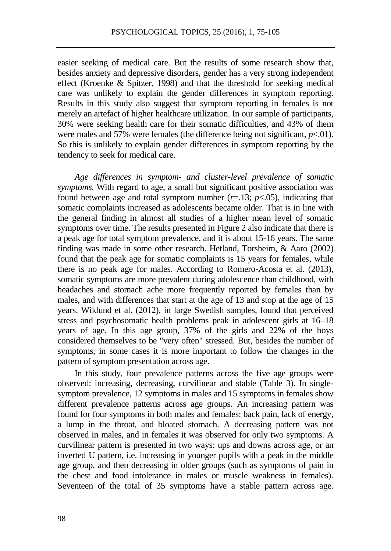easier seeking of medical care. But the results of some research show that, besides anxiety and depressive disorders, gender has a very strong independent effect (Kroenke & Spitzer, 1998) and that the threshold for seeking medical care was unlikely to explain the gender differences in symptom reporting. Results in this study also suggest that symptom reporting in females is not merely an artefact of higher healthcare utilization. In our sample of participants, 30% were seeking health care for their somatic difficulties, and 43% of them were males and 57% were females (the difference being not significant,  $p<0$ 1). So this is unlikely to explain gender differences in symptom reporting by the tendency to seek for medical care.

*Age differences in symptom- and cluster-level prevalence of somatic symptoms.* With regard to age, a small but significant positive association was found between age and total symptom number  $(r=13; p<0.05)$ , indicating that somatic complaints increased as adolescents became older. That is in line with the general finding in almost all studies of a higher mean level of somatic symptoms over time. The results presented in Figure 2 also indicate that there is a peak age for total symptom prevalence, and it is about 15-16 years. The same finding was made in some other research. Hetland, Torsheim, & Aaro (2002) found that the peak age for somatic complaints is 15 years for females, while there is no peak age for males. According to Romero-Acosta et al. (2013), somatic symptoms are more prevalent during adolescence than childhood, with headaches and stomach ache more frequently reported by females than by males, and with differences that start at the age of 13 and stop at the age of 15 years. Wiklund et al. (2012), in large Swedish samples, found that perceived stress and psychosomatic health problems peak in adolescent girls at 16–18 years of age. In this age group, 37% of the girls and 22% of the boys considered themselves to be "very often" stressed. But, besides the number of symptoms, in some cases it is more important to follow the changes in the pattern of symptom presentation across age.

In this study, four prevalence patterns across the five age groups were observed: increasing, decreasing, curvilinear and stable (Table 3). In singlesymptom prevalence, 12 symptoms in males and 15 symptoms in females show different prevalence patterns across age groups. An increasing pattern was found for four symptoms in both males and females: back pain, lack of energy, a lump in the throat, and bloated stomach. A decreasing pattern was not observed in males, and in females it was observed for only two symptoms. A curvilinear pattern is presented in two ways: ups and downs across age, or an inverted U pattern, i.e. increasing in younger pupils with a peak in the middle age group, and then decreasing in older groups (such as symptoms of pain in the chest and food intolerance in males or muscle weakness in females). Seventeen of the total of 35 symptoms have a stable pattern across age.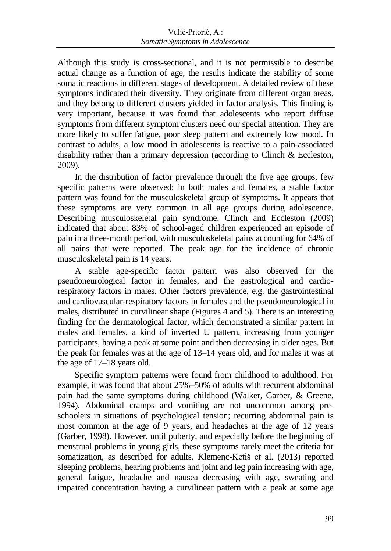Although this study is cross-sectional, and it is not permissible to describe actual change as a function of age, the results indicate the stability of some somatic reactions in different stages of development. A detailed review of these symptoms indicated their diversity. They originate from different organ areas, and they belong to different clusters yielded in factor analysis. This finding is very important, because it was found that adolescents who report diffuse symptoms from different symptom clusters need our special attention. They are more likely to suffer fatigue, poor sleep pattern and extremely low mood. In contrast to adults, a low mood in adolescents is reactive to a pain-associated disability rather than a primary depression (according to Clinch & Eccleston, 2009).

In the distribution of factor prevalence through the five age groups, few specific patterns were observed: in both males and females, a stable factor pattern was found for the musculoskeletal group of symptoms. It appears that these symptoms are very common in all age groups during adolescence. Describing musculoskeletal pain syndrome, Clinch and Eccleston (2009) indicated that about 83% of school-aged children experienced an episode of pain in a three-month period, with musculoskeletal pains accounting for 64% of all pains that were reported. The peak age for the incidence of chronic musculoskeletal pain is 14 years.

A stable age-specific factor pattern was also observed for the pseudoneurological factor in females, and the gastrological and cardiorespiratory factors in males. Other factors prevalence, e.g. the gastrointestinal and cardiovascular-respiratory factors in females and the pseudoneurological in males, distributed in curvilinear shape (Figures 4 and 5). There is an interesting finding for the dermatological factor, which demonstrated a similar pattern in males and females, a kind of inverted U pattern, increasing from younger participants, having a peak at some point and then decreasing in older ages. But the peak for females was at the age of 13–14 years old, and for males it was at the age of 17–18 years old.

Specific symptom patterns were found from childhood to adulthood. For example, it was found that about 25%–50% of adults with recurrent abdominal pain had the same symptoms during childhood (Walker, Garber, & Greene, 1994). Abdominal cramps and vomiting are not uncommon among preschoolers in situations of psychological tension; recurring abdominal pain is most common at the age of 9 years, and headaches at the age of 12 years (Garber, 1998). However, until puberty, and especially before the beginning of menstrual problems in young girls, these symptoms rarely meet the criteria for somatization, as described for adults. Klemenc-Ketiš et al. (2013) reported sleeping problems, hearing problems and joint and leg pain increasing with age, general fatigue, headache and nausea decreasing with age, sweating and impaired concentration having a curvilinear pattern with a peak at some age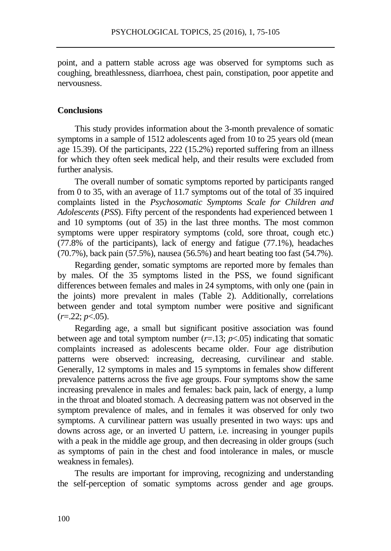point, and a pattern stable across age was observed for symptoms such as coughing, breathlessness, diarrhoea, chest pain, constipation, poor appetite and nervousness.

#### **Conclusions**

This study provides information about the 3-month prevalence of somatic symptoms in a sample of 1512 adolescents aged from 10 to 25 years old (mean age 15.39). Of the participants, 222 (15.2%) reported suffering from an illness for which they often seek medical help, and their results were excluded from further analysis.

The overall number of somatic symptoms reported by participants ranged from 0 to 35, with an average of 11.7 symptoms out of the total of 35 inquired complaints listed in the *Psychosomatic Symptoms Scale for Children and Adolescents* (*PSS*). Fifty percent of the respondents had experienced between 1 and 10 symptoms (out of 35) in the last three months. The most common symptoms were upper respiratory symptoms (cold, sore throat, cough etc.) (77.8% of the participants), lack of energy and fatigue (77.1%), headaches (70.7%), back pain (57.5%), nausea (56.5%) and heart beating too fast (54.7%).

Regarding gender, somatic symptoms are reported more by females than by males. Of the 35 symptoms listed in the PSS, we found significant differences between females and males in 24 symptoms, with only one (pain in the joints) more prevalent in males (Table 2). Additionally, correlations between gender and total symptom number were positive and significant  $(r=.22; p<.05)$ .

Regarding age, a small but significant positive association was found between age and total symptom number  $(r=13; p<0.05)$  indicating that somatic complaints increased as adolescents became older. Four age distribution patterns were observed: increasing, decreasing, curvilinear and stable. Generally, 12 symptoms in males and 15 symptoms in females show different prevalence patterns across the five age groups. Four symptoms show the same increasing prevalence in males and females: back pain, lack of energy, a lump in the throat and bloated stomach. A decreasing pattern was not observed in the symptom prevalence of males, and in females it was observed for only two symptoms. A curvilinear pattern was usually presented in two ways: ups and downs across age, or an inverted U pattern, i.e. increasing in younger pupils with a peak in the middle age group, and then decreasing in older groups (such as symptoms of pain in the chest and food intolerance in males, or muscle weakness in females).

The results are important for improving, recognizing and understanding the self-perception of somatic symptoms across gender and age groups.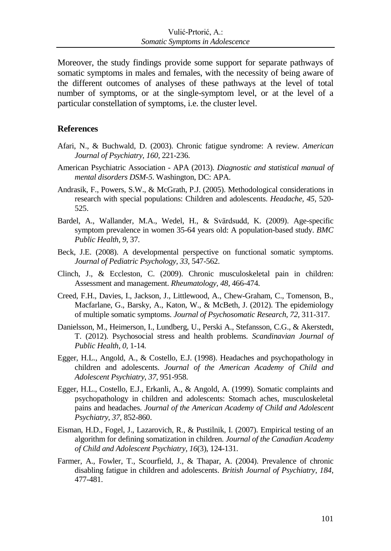Moreover, the study findings provide some support for separate pathways of somatic symptoms in males and females, with the necessity of being aware of the different outcomes of analyses of these pathways at the level of total number of symptoms, or at the single-symptom level, or at the level of a particular constellation of symptoms, i.e. the cluster level.

#### **References**

- Afari, N., & Buchwald, D. (2003). Chronic fatigue syndrome: A review. *American Journal of Psychiatry, 160,* 221-236.
- American Psychiatric Association APA (2013). *Diagnostic and statistical manual of mental disorders DSM-5*. Washington, DC: APA.
- Andrasik, F., Powers, S.W., & McGrath, P.J. (2005). Methodological considerations in research with special populations: Children and adolescents. *Headache, 45,* 520- 525.
- Bardel, A., Wallander, M.A., Wedel, H., & Svärdsudd, K. (2009). Age-specific symptom prevalence in women 35-64 years old: A population-based study. *BMC Public Health, 9*, 37.
- Beck, J.E. (2008). A developmental perspective on functional somatic symptoms. *Journal of Pediatric Psychology, 33,* 547-562.
- Clinch, J., & Eccleston, C. (2009). Chronic musculoskeletal pain in children: Assessment and management. *Rheumatology, 48*, 466-474.
- Creed, F.H., Davies, I., Jackson, J., Littlewood, A., Chew-Graham, C., Tomenson, B., Macfarlane, G., Barsky, A., Katon, W., & McBeth, J. (2012). The epidemiology of multiple somatic symptoms. *Journal of Psychosomatic Research, 72,* 311-317.
- Danielsson, M., Heimerson, I., Lundberg, U., Perski A., Stefansson, C.G., & Akerstedt, T. (2012). Psychosocial stress and health problems. *Scandinavian Journal of Public Health, 0,* 1-14*.*
- Egger, H.L., Angold, A., & Costello, E.J. (1998). Headaches and psychopathology in children and adolescents. *Journal of the American Academy of Child and Adolescent Psychiatry*, *37*, 951-958.
- Egger, H.L., Costello, E.J., Erkanli, A., & Angold, A. (1999). Somatic complaints and psychopathology in children and adolescents: Stomach aches, musculoskeletal pains and headaches. *Journal of the American Academy of Child and Adolescent Psychiatry*, *37*, 852-860.
- Eisman, H.D., Fogel, J., Lazarovich, R., & Pustilnik, I. (2007). Empirical testing of an algorithm for defining somatization in children. *Journal of the Canadian Academy of Child and Adolescent Psychiatry, 16*(3), 124-131.
- Farmer, A., Fowler, T., Scourfield, J., & Thapar, A. (2004). Prevalence of chronic disabling fatigue in children and adolescents. *British Journal of Psychiatry, 184*, 477-481.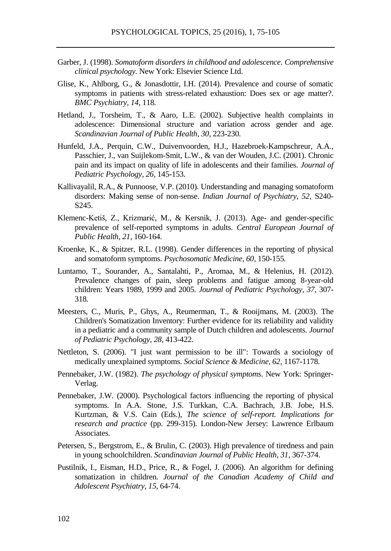- Garber, J. (1998). *Somatoform disorders in childhood and adolescence. Comprehensive clinical psychology.* New York: Elsevier Science Ltd.
- Glise, K., Ahlborg, G., & Jonasdottir, I.H. (2014). Prevalence and course of somatic symptoms in patients with stress-related exhaustion: Does sex or age matter?. *BMC Psychiatry, 14,* 118*.*
- Hetland, J., Torsheim, T., & Aaro, L.E. (2002). Subjective health complaints in adolescence: Dimensional structure and variation across gender and age. *Scandinavian Journal of Public Health, 30,* 223-230*.*
- [Hunfeld,](http://www.ncbi.nlm.nih.gov/pubmed/?term=Hunfeld%20JA%5BAuthor%5D&cauthor=true&cauthor_uid=11259516) J.A., [Perquin,](http://www.ncbi.nlm.nih.gov/pubmed/?term=Perquin%20CW%5BAuthor%5D&cauthor=true&cauthor_uid=11259516) C.W., [Duivenvoorden,](http://www.ncbi.nlm.nih.gov/pubmed/?term=Duivenvoorden%20HJ%5BAuthor%5D&cauthor=true&cauthor_uid=11259516) H.J., [Hazebroek-Kampschreur,](http://www.ncbi.nlm.nih.gov/pubmed/?term=Hazebroek-Kampschreur%20AA%5BAuthor%5D&cauthor=true&cauthor_uid=11259516) A.A., [Passchier,](http://www.ncbi.nlm.nih.gov/pubmed/?term=Passchier%20J%5BAuthor%5D&cauthor=true&cauthor_uid=11259516) J., [van Suijlekom-Smit,](http://www.ncbi.nlm.nih.gov/pubmed/?term=van%20Suijlekom-Smit%20LW%5BAuthor%5D&cauthor=true&cauthor_uid=11259516) L.W., & van der Wouden, J.C. (2001). Chronic pain and its impact on quality of life in adolescents and their families. *Journal of Pediatric Psychology, 26,* 145-153*.*
- Kallivayalil, R.A., & Punnoose, V.P. (2010). Understanding and managing somatoform disorders: Making sense of non-sense. *Indian Journal of Psychiatry, 52,* S240- S245.
- Klemenc-Ketiš, Z., Krizmarić, M., & Kersnik, J. (2013). Age- and gender-specific prevalence of self-reported symptoms in adults. *Central European Journal of Public Health, 21*, 160-164*.*
- Kroenke, K., & Spitzer, R.L. (1998). Gender differences in the reporting of physical and somatoform symptoms. *Psychosomatic Medicine, 60,* 150-155*.*
- Luntamo, T., Sourander, A., Santalahti, P., Aromaa, M., & Helenius, H. (2012). Prevalence changes of pain, sleep problems and fatigue among 8-year-old children: Years 1989, 1999 and 2005. *Journal of Pediatric Psychology, 37,* 307- 318*.*
- Meesters, C., Muris, P., Ghys, A., Reumerman, T., & Rooijmans, M. (2003). The Children's Somatization Inventory: Further evidence for its reliability and validity in a pediatric and a community sample of Dutch children and adolescents. *Journal of Pediatric Psychology, 28,* 413-422*.*
- Nettleton, S. (2006). "I just want permission to be ill": Towards a sociology of medically unexplained symptoms. *Social Science & Medicine, 62,* 1167-1178*.*
- Pennebaker, J.W. (1982). *The psychology of physical symptoms*. New York: Springer-Verlag.
- Pennebaker, J.W. (2000). Psychological factors influencing the reporting of physical symptoms. In A.A. Stone, J.S. Turkkan, C.A. Bachrach, J.B. Jobe, H.S. Kurtzman, & V.S. Cain (Eds.), *The science of self-report. Implications for research and practice* (pp. 299-315)*.* London-New Jersey: Lawrence Erlbaum Associates.
- Petersen, S., Bergstrom, E., & Brulin, C. (2003). High prevalence of tiredness and pain in young schoolchildren. *Scandinavian Journal of Public Health, 31,* 367-374.
- Pustilnik, I., Eisman, H.D., Price, R., & Fogel, J. (2006). An algorithm for defining somatization in children. *Journal of the Canadian Academy of Child and Adolescent Psychiatry, 15,* 64-74.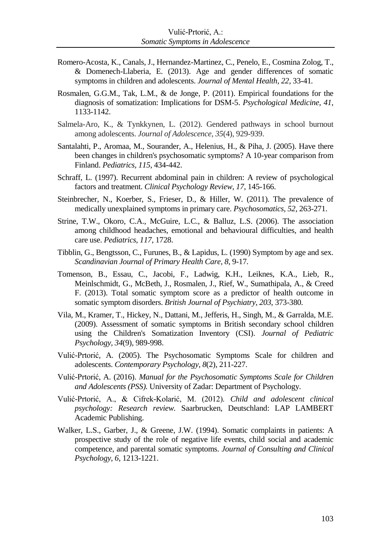- Romero-Acosta, K., Canals, J., Hernandez-Martinez, C., Penelo, E., Cosmina Zolog, T., & Domenech-Llaberia, E. (2013). Age and gender differences of somatic symptoms in children and adolescents. *Journal of Mental Health, 22*, 33-41*.*
- Rosmalen, G.G.M., Tak, L.M., & de Jonge, P. (2011). Empirical foundations for the diagnosis of somatization: Implications for DSM-5. *Psychological Medicine, 41*, 1133-1142.
- Salmela-Aro, K., & Tynkkynen, L. (2012). Gendered pathways in school burnout among adolescents. *Journal of Adolescence*, *35*(4), 929-939.
- Santalahti, P., Aromaa, M., Sourander, A., Helenius, H., & Piha, J. (2005). Have there been changes in children's psychosomatic symptoms? A 10-year comparison from Finland. *Pediatrics, 115*, 434-442.
- Schraff, L. (1997). Recurrent abdominal pain in children: A review of psychological factors and treatment. *Clinical Psychology Review*, *17*, 145-166.
- Steinbrecher, N., Koerber, S., Frieser, D., & Hiller, W. (2011). The prevalence of medically unexplained symptoms in primary care. *Psychosomatics, 52*, 263-271.
- Strine, T.W., Okoro, C.A., McGuire, L.C., & Balluz, L.S. (2006). The association among childhood headaches, emotional and behavioural difficulties, and health care use. *Pediatrics, 117*, 1728.
- Tibblin, G., Bengtsson, C., Furunes, B., & Lapidus, L. (1990) Symptom by age and sex. *Scandinavian Journal of Primary Health Care, 8*, 9-17*.*
- Tomenson, B., Essau, C., Jacobi, F., Ladwig, K.H., Leiknes, K.A., Lieb, R., Meinlschmidt, G., McBeth, J., Rosmalen, J., Rief, W., Sumathipala, A., & Creed F. (2013). Total somatic symptom score as a predictor of health outcome in somatic symptom disorders. *British Journal of Psychiatry, 203*, 373-380*.*
- [Vila,](http://www.ncbi.nlm.nih.gov/pubmed/?term=Vila%20M%5BAuthor%5D&cauthor=true&cauthor_uid=19223276) M., [Kramer,](http://www.ncbi.nlm.nih.gov/pubmed/?term=Kramer%20T%5BAuthor%5D&cauthor=true&cauthor_uid=19223276) T., [Hickey,](http://www.ncbi.nlm.nih.gov/pubmed/?term=Hickey%20N%5BAuthor%5D&cauthor=true&cauthor_uid=19223276) N., [Dattani,](http://www.ncbi.nlm.nih.gov/pubmed/?term=Dattani%20M%5BAuthor%5D&cauthor=true&cauthor_uid=19223276) M., [Jefferis,](http://www.ncbi.nlm.nih.gov/pubmed/?term=Jefferis%20H%5BAuthor%5D&cauthor=true&cauthor_uid=19223276) H., [Singh,](http://www.ncbi.nlm.nih.gov/pubmed/?term=Singh%20M%5BAuthor%5D&cauthor=true&cauthor_uid=19223276) M., & [Garralda,](http://www.ncbi.nlm.nih.gov/pubmed/?term=Garralda%20ME%5BAuthor%5D&cauthor=true&cauthor_uid=19223276) M.E. (2009). Assessment of somatic symptoms in British secondary school children using the Children's Somatization Inventory (CSI). *Journal of Pediatric Psychology, 34*(9), 989-998.
- Vulić-Prtorić, A. (2005). The Psychosomatic Symptoms Scale for children and adolescents. *Contemporary Psychology*, *8*(2), 211-227.
- Vulić-Prtorić, A. (2016). *Manual for the Psychosomatic Symptoms Scale for Children and Adolescents (PSS).* University of Zadar: Department of Psychology.
- Vulić-Prtorić, A., & Cifrek-Kolarić, M. (2012). *Child and adolescent clinical psychology: Research review.* Saarbrucken, Deutschland: LAP LAMBERT Academic Publishing.
- Walker, L.S., Garber, J., & Greene, J.W. (1994). Somatic complaints in patients: A prospective study of the role of negative life events, child social and academic competence, and parental somatic symptoms. *Journal of Consulting and Clinical Psychology*, *6*, 1213-1221.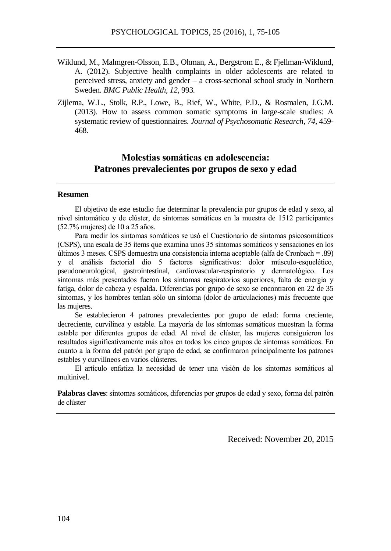- Wiklund, M., Malmgren-Olsson, E.B., Ohman, A., Bergstrom E., & Fjellman-Wiklund, A. (2012). Subjective health complaints in older adolescents are related to perceived stress, anxiety and gender – a cross-sectional school study in Northern Sweden. *BMC Public Health, 12*, 993*.*
- Zijlema, W.L., Stolk, R.P., Lowe, B., Rief, W., White, P.D., & Rosmalen, J.G.M. (2013). How to assess common somatic symptoms in large-scale studies: A systematic review of questionnaires. *Journal of Psychosomatic Research, 74*, 459- 468*.*

# **Molestias somáticas en adolescencia: Patrones prevalecientes por grupos de sexo y edad**

#### **Resumen**

El objetivo de este estudio fue determinar la prevalencia por grupos de edad y sexo, al nivel sintomático y de clúster, de síntomas somáticos en la muestra de 1512 participantes (52.7% mujeres) de 10 a 25 años.

Para medir los síntomas somáticos se usó el Cuestionario de síntomas psicosomáticos (CSPS), una escala de 35 ítems que examina unos 35 síntomas somáticos y sensaciones en los últimos 3 meses. CSPS demuestra una consistencia interna aceptable (alfa de Cronbach = .89) y el análisis factorial dio 5 factores significativos: dolor músculo-esquelético, pseudoneurological, gastrointestinal, cardiovascular-respiratorio y dermatológico. Los síntomas más presentados fueron los síntomas respiratorios superiores, falta de energía y fatiga, dolor de cabeza y espalda. Diferencias por grupo de sexo se encontraron en 22 de 35 síntomas, y los hombres tenían sólo un síntoma (dolor de articulaciones) más frecuente que las mujeres.

Se establecieron 4 patrones prevalecientes por grupo de edad: forma creciente, decreciente, curvilínea y estable. La mayoría de los síntomas somáticos muestran la forma estable por diferentes grupos de edad. Al nivel de clúster, las mujeres consiguieron los resultados significativamente más altos en todos los cinco grupos de síntomas somáticos. En cuanto a la forma del patrón por grupo de edad, se confirmaron principalmente los patrones estables y curvilíneos en varios clústeres.

El artículo enfatiza la necesidad de tener una visión de los síntomas somáticos al multinivel.

**Palabras claves**: síntomas somáticos, diferencias por grupos de edad y sexo, forma del patrón de clúster

Received: November 20, 2015